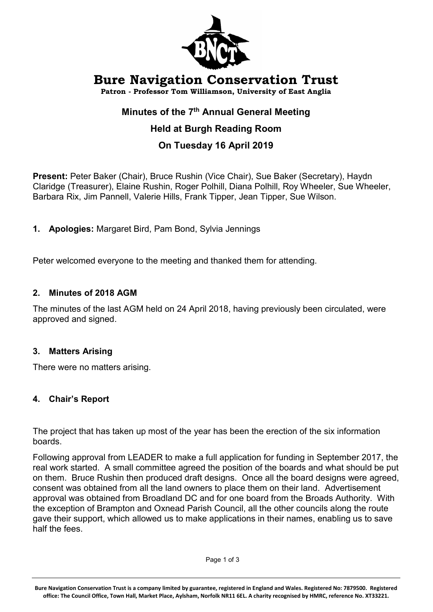

# Bure Navigation Conservation Trust

Patron - Professor Tom Williamson, University of East Anglia

## Minutes of the 7<sup>th</sup> Annual General Meeting

# Held at Burgh Reading Room

# On Tuesday 16 April 2019

Present: Peter Baker (Chair), Bruce Rushin (Vice Chair), Sue Baker (Secretary), Haydn Claridge (Treasurer), Elaine Rushin, Roger Polhill, Diana Polhill, Roy Wheeler, Sue Wheeler, Barbara Rix, Jim Pannell, Valerie Hills, Frank Tipper, Jean Tipper, Sue Wilson.

1. Apologies: Margaret Bird, Pam Bond, Sylvia Jennings

Peter welcomed everyone to the meeting and thanked them for attending.

## 2. Minutes of 2018 AGM

The minutes of the last AGM held on 24 April 2018, having previously been circulated, were approved and signed.

## 3. Matters Arising

There were no matters arising.

## 4. Chair's Report

The project that has taken up most of the year has been the erection of the six information boards.

Following approval from LEADER to make a full application for funding in September 2017, the real work started. A small committee agreed the position of the boards and what should be put on them. Bruce Rushin then produced draft designs. Once all the board designs were agreed, consent was obtained from all the land owners to place them on their land. Advertisement approval was obtained from Broadland DC and for one board from the Broads Authority. With the exception of Brampton and Oxnead Parish Council, all the other councils along the route gave their support, which allowed us to make applications in their names, enabling us to save half the fees.

Bure Navigation Conservation Trust is a company limited by guarantee, registered in England and Wales. Registered No: 7879500. Registered office: The Council Office, Town Hall, Market Place, Aylsham, Norfolk NR11 6EL. A charity recognised by HMRC, reference No. XT33221.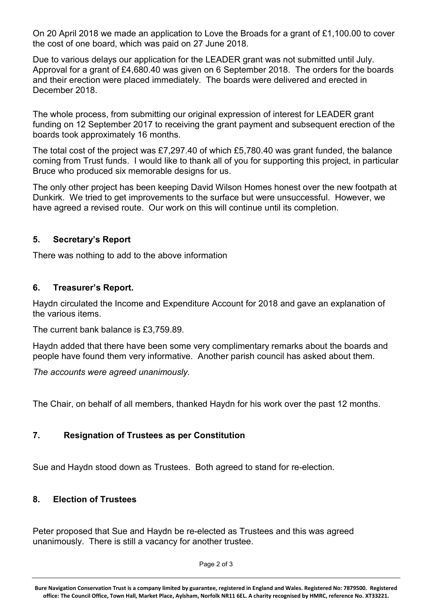On 20 April 2018 we made an application to Love the Broads for a grant of £1,100.00 to cover the cost of one board, which was paid on 27 June 2018.

Due to various delays our application for the LEADER grant was not submitted until July. Approval for a grant of £4,680.40 was given on 6 September 2018. The orders for the boards and their erection were placed immediately. The boards were delivered and erected in December 2018.

The whole process, from submitting our original expression of interest for LEADER grant funding on 12 September 2017 to receiving the grant payment and subsequent erection of the boards took approximately 16 months.

The total cost of the project was £7,297.40 of which £5,780.40 was grant funded, the balance coming from Trust funds. I would like to thank all of you for supporting this project, in particular Bruce who produced six memorable designs for us.

The only other project has been keeping David Wilson Homes honest over the new footpath at Dunkirk. We tried to get improvements to the surface but were unsuccessful. However, we have agreed a revised route. Our work on this will continue until its completion.

## 5. Secretary's Report

There was nothing to add to the above information

## 6. Treasurer's Report.

Haydn circulated the Income and Expenditure Account for 2018 and gave an explanation of the various items.

The current bank balance is £3,759.89.

Haydn added that there have been some very complimentary remarks about the boards and people have found them very informative. Another parish council has asked about them.

The accounts were agreed unanimously.

The Chair, on behalf of all members, thanked Haydn for his work over the past 12 months.

## 7. Resignation of Trustees as per Constitution

Sue and Haydn stood down as Trustees. Both agreed to stand for re-election.

#### 8. Election of Trustees

Peter proposed that Sue and Haydn be re-elected as Trustees and this was agreed unanimously. There is still a vacancy for another trustee.

Page 2 of 3

Bure Navigation Conservation Trust is a company limited by guarantee, registered in England and Wales. Registered No: 7879500. Registered office: The Council Office, Town Hall, Market Place, Aylsham, Norfolk NR11 6EL. A charity recognised by HMRC, reference No. XT33221.